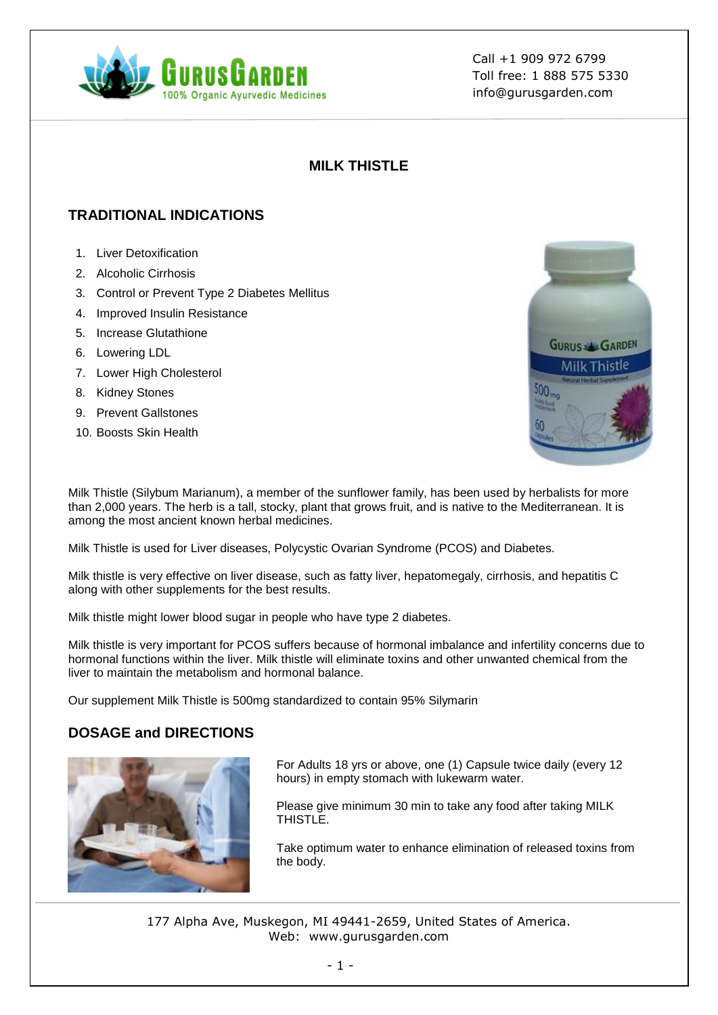

Call +1 909 972 6799 Toll free: 1 888 575 5330 info@gurusgarden.com

### **MILK THISTLE**

## **TRADITIONAL INDICATIONS**

- 1. Liver Detoxification
- 2. Alcoholic Cirrhosis
- 3. Control or Prevent Type 2 Diabetes Mellitus
- 4. Improved Insulin Resistance
- 5. Increase Glutathione
- 6. Lowering LDL
- 7. Lower High Cholesterol
- 8. Kidney Stones
- 9. Prevent Gallstones
- 10. Boosts Skin Health

Milk Thistle (Silybum Marianum), a member of the sunflower family, has been used by herbalists for more than 2,000 years. The herb is a tall, stocky, plant that grows fruit, and is native to the Mediterranean. It is among the most ancient known herbal medicines.

Milk Thistle is used for Liver diseases, Polycystic Ovarian Syndrome (PCOS) and Diabetes.

Milk thistle is very effective on liver disease, such as fatty liver, hepatomegaly, cirrhosis, and hepatitis C along with other supplements for the best results.

Milk thistle might lower blood sugar in people who have type 2 diabetes.

Milk thistle is very important for PCOS suffers because of hormonal imbalance and infertility concerns due to hormonal functions within the liver. Milk thistle will eliminate toxins and other unwanted chemical from the liver to maintain the metabolism and hormonal balance.

Our supplement Milk Thistle is 500mg standardized to contain 95% Silymarin

### **DOSAGE and DIRECTIONS**



For Adults 18 yrs or above, one (1) Capsule twice daily (every 12 hours) in empty stomach with lukewarm water.

Please give minimum 30 min to take any food after taking MILK THISTLE.

Take optimum water to enhance elimination of released toxins from the body.

177 Alpha Ave, Muskegon, MI 49441-2659, United States of America. Web: www.gurusgarden.com